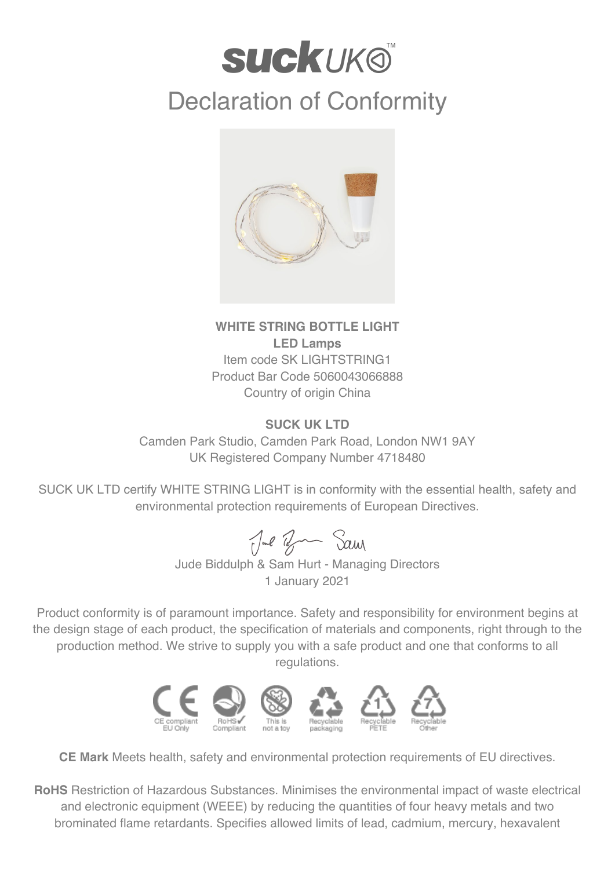## **SUCKUKO** Declaration of Conformity



## **WHITE STRING BOTTLE LIGHT LED Lamps** Item code SK LIGHTSTRING1 Product Bar Code 5060043066888 Country of origin China

## **SUCK UK LTD**

Camden Park Studio, Camden Park Road, London NW1 9AY UK Registered Company Number 4718480

SUCK UK LTD certify WHITE STRING LIGHT is in conformity with the essential health, safety and environmental protection requirements of European Directives.

Jul Ban Sam

Jude Biddulph & Sam Hurt - Managing Directors 1 January 2021

Product conformity is of paramount importance. Safety and responsibility for environment begins at the design stage of each product, the specification of materials and components, right through to the production method. We strive to supply you with a safe product and one that conforms to all regulations.



**CE Mark** Meets health, safety and environmental protection requirements of EU directives.

**RoHS** Restriction of Hazardous Substances. Minimises the environmental impact of waste electrical and electronic equipment (WEEE) by reducing the quantities of four heavy metals and two brominated flame retardants. Specifies allowed limits of lead, cadmium, mercury, hexavalent